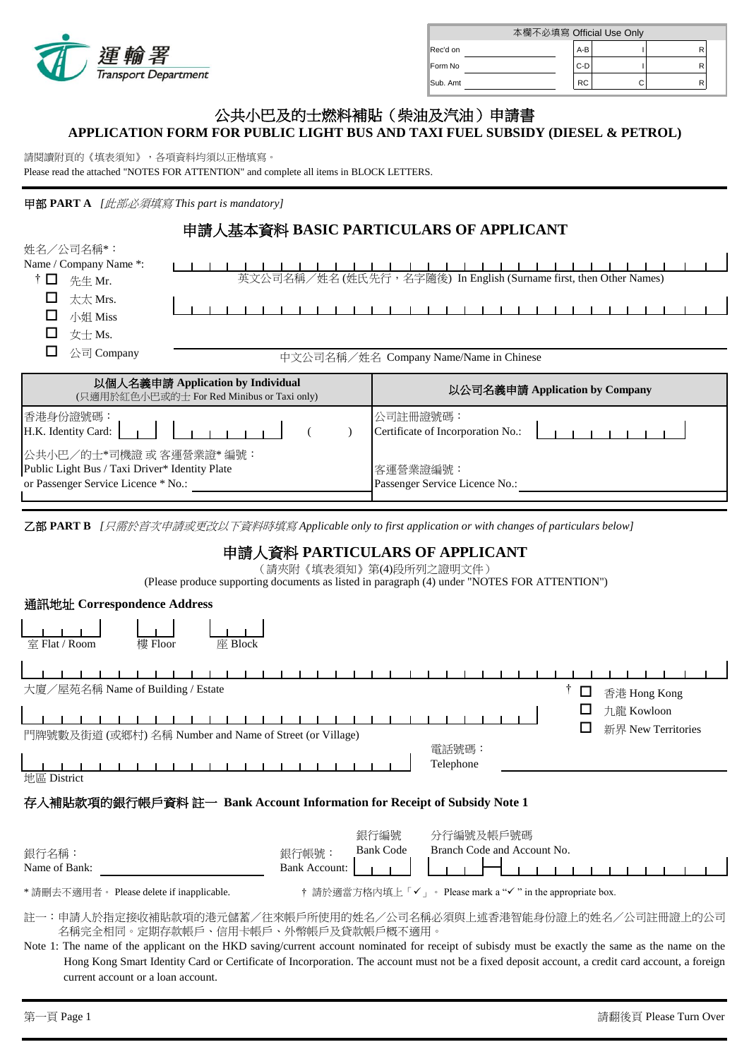

| 本欄不必填寫 Official Use Only |  |           |  |  |  |
|--------------------------|--|-----------|--|--|--|
| Rec'd on                 |  | $A-B$     |  |  |  |
| Form No                  |  | $C-D$     |  |  |  |
| Sub. Amt                 |  | <b>RC</b> |  |  |  |

# **APPLICATION FORM FOR PUBLIC LIGHT BUS AND TAXI FUEL SUBSIDY (DIESEL & PETROL)** 公共小巴及的士燃料補貼(柴油及汽油)申請書

請閱讀附頁的《填表須知》,各項資料均須以正楷填寫。

Please read the attached "NOTES FOR ATTENTION" and complete all items in BLOCK LETTERS.

## 甲部 **PART A** *[*此部必須填寫 *This part is mandatory]*

### 申請人基本資料 **BASIC PARTICULARS OF APPLICANT** 姓名/公司名稱\*: Name / Company Name \*:(姓名 (姓氏先行,名字隨後) In English (Surname first, then Other Names)  $\dagger$   $\Box$  先生 Mr.  $\Box$  太太 Mrs.  $\begin{array}{cccccccccc} 1 & 1 & 1 & 1 & 1 & 1 & 1 \end{array}$  $\blacksquare$ □ 小姐 Miss  $\Box$  女士 Ms.  $\Box$  公司 Company 中文公司名稱/姓名 Company Name/Name in Chinese 以個人名義申請 **Application by Individual** (只適用於紅色小巴或的士 For Red Minibus or Taxi only) 以公司名義申請 **Application by Company** 香港身份證號碼: 公司註冊證號碼: H.K. Identity Card: ( ) Certificate of Incorporation No.:  $\lambda$ 公共小巴/的士\*司機證 或 客運營業證\* 編號: Public Light Bus / Taxi Driver\* Identity Plate 客運營業證編號: or Passenger Service Licence \* No.: Passenger Service Licence No.:

乙部 **PART B** *[*只需於首次申請或更改以下資料時填寫 *Applicable only to first application or with changes of particulars below]*

# 申請人資料 **PARTICULARS OF APPLICANT**

(請夾附《填表須知》第(4)段所列之證明文件)

(Please produce supporting documents as listed in paragraph (4) under "NOTES FOR ATTENTION")

| 通訊地址 Correspondence Address                                                                                                                                                                                                                              |                                                                                                       |  |  |  |
|----------------------------------------------------------------------------------------------------------------------------------------------------------------------------------------------------------------------------------------------------------|-------------------------------------------------------------------------------------------------------|--|--|--|
| 樓 Floor<br>室 Flat / Room<br>座 Block                                                                                                                                                                                                                      |                                                                                                       |  |  |  |
| 大廈/屋苑名稱 Name of Building / Estate                                                                                                                                                                                                                        | $\Box$<br>香港 Hong Kong                                                                                |  |  |  |
| 門牌號數及街道 (或鄉村) 名稱 Number and Name of Street (or Village)                                                                                                                                                                                                  | 九龍 Kowloon<br>新界 New Territories                                                                      |  |  |  |
| 地區 District                                                                                                                                                                                                                                              | 電話號碼:<br>Telephone                                                                                    |  |  |  |
| 存入補貼款項的銀行帳戶資料 註一 Bank Account Information for Receipt of Subsidy Note 1                                                                                                                                                                                  |                                                                                                       |  |  |  |
| 銀行名稱:<br>Name of Bank:                                                                                                                                                                                                                                   | 銀行編號<br>分行編號及帳戶號碼<br>Branch Code and Account No.<br><b>Bank Code</b><br>銀行帳號:<br><b>Bank Account:</b> |  |  |  |
| *請刪去不適用者。 Please delete if inapplicable.                                                                                                                                                                                                                 | † 請於適當方格內填上「✓」。 Please mark a "✓" in the appropriate box.                                             |  |  |  |
| 註一:申請人於指定接收補貼款項的港元儲蓄/往來帳戶所使用的姓名/公司名稱必須與上述香港智能身份證上的姓名/公司註冊證上的公司<br>名稱完全相同。定期存款帳戶、信用卡帳戶、外幣帳戶及貸款帳戶概不適用。<br>Note 1: The name of the applicant on the HKD saving/current account nominated for receipt of subisdy must be exactly the same as the name on the |                                                                                                       |  |  |  |

 current account or a loan account. Hong Kong Smart Identity Card or Certificate of Incorporation. The account must not be a fixed deposit account, a credit card account, a foreign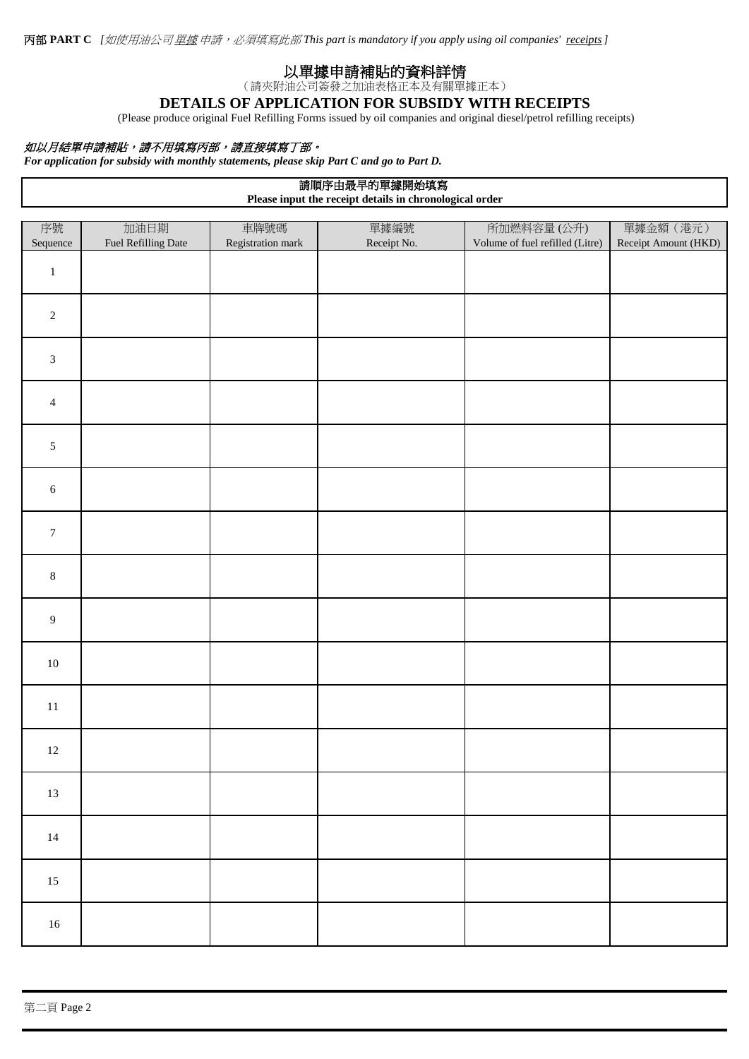# 以單據申請補貼的資料詳情

(請夾附油公司簽發之加油表格正本及有關單據正本)

# **DETAILS OF APPLICATION FOR SUBSIDY WITH RECEIPTS**

(Please produce original Fuel Refilling Forms issued by oil companies and original diesel/petrol refilling receipts)

## 如以月結單申請補貼,請不用填寫丙部,請直接填寫丁部。

*For application for subsidy with monthly statements, please skip Part C and go to Part D.*

# 請順序由最早的單據開始填寫

**Please input the receipt details in chronological order**

| 序號               | 加油日期                | 車牌號碼              | 單據編號        | 所加燃料容量(公升)                      | 單據金額 (港元)            |
|------------------|---------------------|-------------------|-------------|---------------------------------|----------------------|
| Sequence         | Fuel Refilling Date | Registration mark | Receipt No. | Volume of fuel refilled (Litre) | Receipt Amount (HKD) |
| $\,1\,$          |                     |                   |             |                                 |                      |
| $\sqrt{2}$       |                     |                   |             |                                 |                      |
| $\mathfrak{Z}$   |                     |                   |             |                                 |                      |
| $\overline{4}$   |                     |                   |             |                                 |                      |
| $\sqrt{5}$       |                     |                   |             |                                 |                      |
| $\sqrt{6}$       |                     |                   |             |                                 |                      |
| $\boldsymbol{7}$ |                     |                   |             |                                 |                      |
| $\,8\,$          |                     |                   |             |                                 |                      |
| $\boldsymbol{9}$ |                     |                   |             |                                 |                      |
| $10\,$           |                     |                   |             |                                 |                      |
| $11\,$           |                     |                   |             |                                 |                      |
| $12\,$           |                     |                   |             |                                 |                      |
| $13\,$           |                     |                   |             |                                 |                      |
| $14\,$           |                     |                   |             |                                 |                      |
| $15\,$           |                     |                   |             |                                 |                      |
| $16\,$           |                     |                   |             |                                 |                      |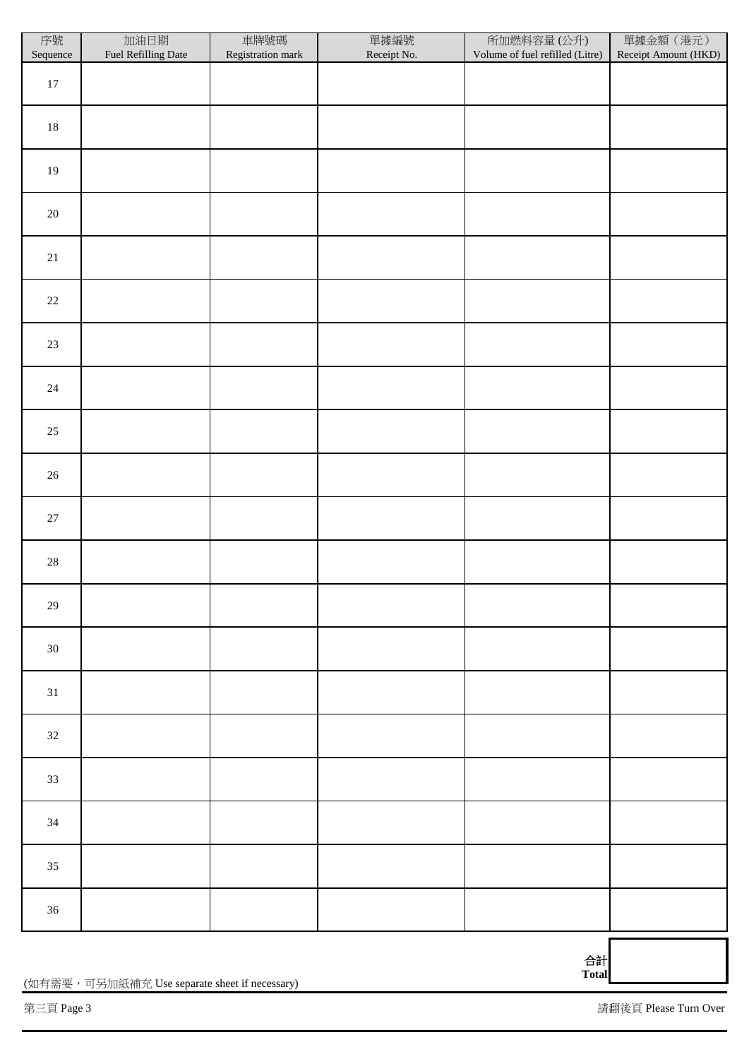| 序號<br>Sequence | 加油日期<br>Fuel Refilling Date | 車牌號碼<br>Registration mark | 單據編號<br>Receipt No. | 所加燃料容量(公升)<br>Volume of fuel refilled (Litre) | 單據金額 (港元)<br>Receipt Amount (HKD) |
|----------------|-----------------------------|---------------------------|---------------------|-----------------------------------------------|-----------------------------------|
| $17\,$         |                             |                           |                     |                                               |                                   |
| $18\,$         |                             |                           |                     |                                               |                                   |
| 19             |                             |                           |                     |                                               |                                   |
| $20\,$         |                             |                           |                     |                                               |                                   |
| $21\,$         |                             |                           |                     |                                               |                                   |
| $22\,$         |                             |                           |                     |                                               |                                   |
| $23\,$         |                             |                           |                     |                                               |                                   |
| $24\,$         |                             |                           |                     |                                               |                                   |
| $25\,$         |                             |                           |                     |                                               |                                   |
| $26\,$         |                             |                           |                     |                                               |                                   |
| $27\,$         |                             |                           |                     |                                               |                                   |
| $28\,$         |                             |                           |                     |                                               |                                   |
| $29\,$         |                             |                           |                     |                                               |                                   |
| $30\,$         |                             |                           |                     |                                               |                                   |
| 31             |                             |                           |                     |                                               |                                   |
| $32\,$         |                             |                           |                     |                                               |                                   |
| 33             |                             |                           |                     |                                               |                                   |
| $34\,$         |                             |                           |                     |                                               |                                   |
| $35\,$         |                             |                           |                     |                                               |                                   |
| $36\,$         |                             |                           |                     |                                               |                                   |
|                |                             |                           |                     |                                               |                                   |

合計 **Total**

(如有需要,可另加紙補充 Use separate sheet if necessary)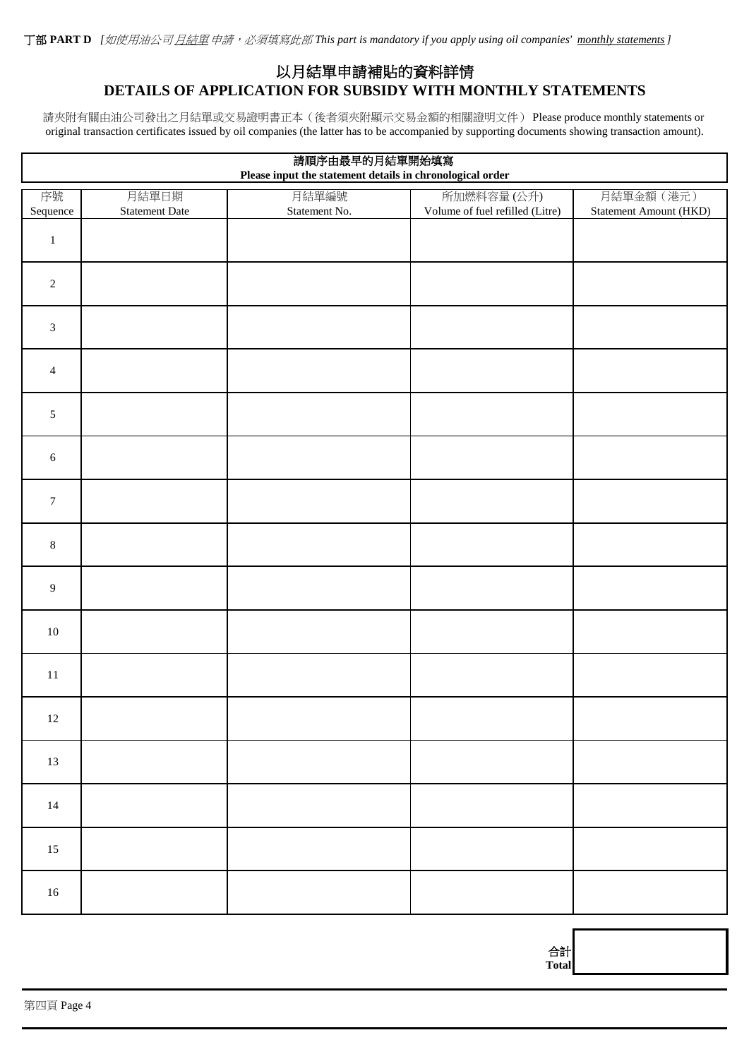# **DETAILS OF APPLICATION FOR SUBSIDY WITH MONTHLY STATEMENTS** 以月結單申請補貼的資料詳情

original transaction certificates issued by oil companies (the latter has to be accompanied by supporting documents showing transaction amount). 請夾附有關由油公司發出之月結單或交易證明書正本(後者須夾附顯示交易金額的相關證明文件) Please produce monthly statements or

| 請順序由最早的月結單開始填寫<br>Please input the statement details in chronological order |                |               |                                 |                        |
|-----------------------------------------------------------------------------|----------------|---------------|---------------------------------|------------------------|
| 序號                                                                          | 月結單日期          | 月結單編號         | 所加燃料容量(公升)                      | 月結單金額 (港元)             |
| Sequence                                                                    | Statement Date | Statement No. | Volume of fuel refilled (Litre) | Statement Amount (HKD) |
| $\,1$                                                                       |                |               |                                 |                        |
| $\sqrt{2}$                                                                  |                |               |                                 |                        |
| $\ensuremath{\mathfrak{Z}}$                                                 |                |               |                                 |                        |
| $\overline{4}$                                                              |                |               |                                 |                        |
| $\sqrt{5}$                                                                  |                |               |                                 |                        |
| $\sqrt{6}$                                                                  |                |               |                                 |                        |
| $\boldsymbol{7}$                                                            |                |               |                                 |                        |
| $\,8\,$                                                                     |                |               |                                 |                        |
| $\boldsymbol{9}$                                                            |                |               |                                 |                        |
| $10\,$                                                                      |                |               |                                 |                        |
| $11\,$                                                                      |                |               |                                 |                        |
| $12\,$                                                                      |                |               |                                 |                        |
| 13                                                                          |                |               |                                 |                        |
| $14$                                                                        |                |               |                                 |                        |
| $15\,$                                                                      |                |               |                                 |                        |
| $16\,$                                                                      |                |               |                                 |                        |

合計 **Total**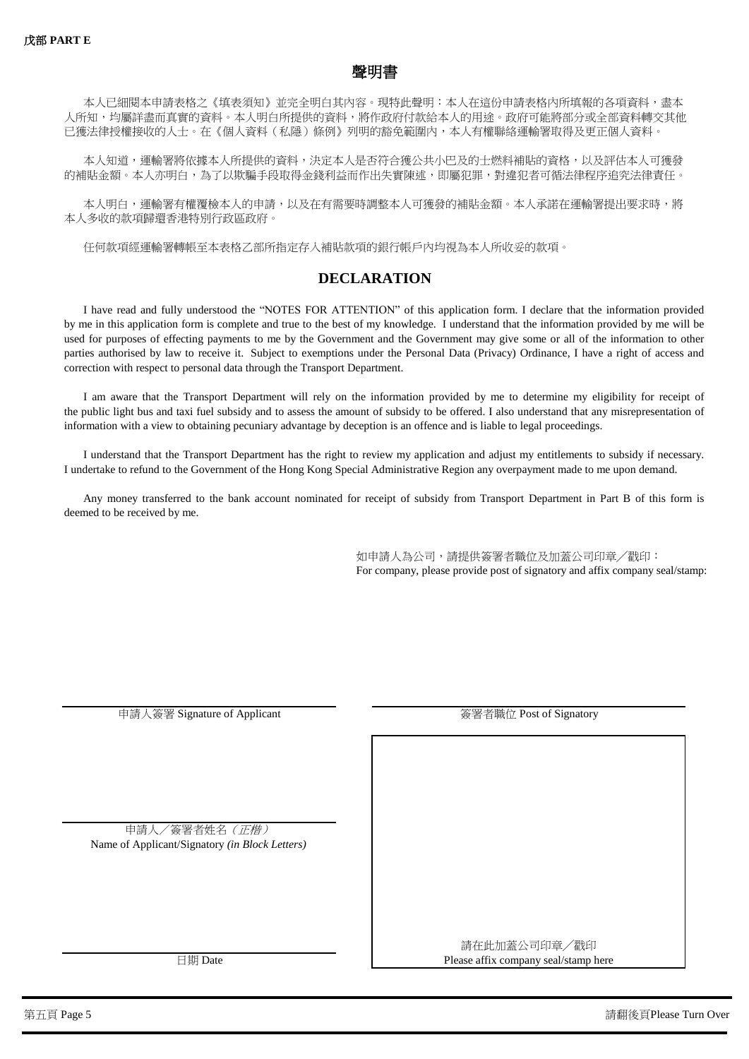

本人已細閱本申請表格之《填表須知》並完全明白其內容。現特此聲明︰本人在這份申請表格內所填報的各項資料,盡本 已獲法律授權接收的人士。在《個人資料(私隱)條例》列明的豁免範圍內,本人有權聯絡運輸署取得及更正個人資料。 人所知,均屬詳盡而真實的資料。本人明白所提供的資料,將作政府付款給本人的用途。政府可能將部分或全部資料轉交其他

的補貼金額。本人亦明白,為了以欺騙手段取得金錢利益而作出失實陳述,即屬犯罪,對違犯者可循法律程序追究法律責任。 本人知道,連輸署將依據本人所提供的資料,決定本人是否符合獲公共小巴及的士燃料補貼的資格,以及評估本人可獲發

本人多收的款項歸還香港特別行政區政府。 本人明白,運輸署有權覆檢本人的申請,以及在有需要時調整本人可獲發的補貼金額。本人承諾在運輸署提出要求時,將

任何款項經運輸署轉帳至本表格乙部所指定存入補貼款項的銀行帳戶內均視為本人所收妥的款項。

# **DECLARATION**

correction with respect to personal data through the Transport Department. parties authorised by law to receive it. Subject to exemptions under the Personal Data (Privacy) Ordinance, I have a right of access and used for purposes of effecting payments to me by the Government and the Government may give some or all of the information to other by me in this application form is complete and true to the best of my knowledge. I understand that the information provided by me will be I have read and fully understood the "NOTES FOR ATTENTION" of this application form. I declare that the information provided

information with a view to obtaining pecuniary advantage by deception is an offence and is liable to legal proceedings. the public light bus and taxi fuel subsidy and to assess the amount of subsidy to be offered. I also understand that any misrepresentation of I am aware that the Transport Department will rely on the information provided by me to determine my eligibility for receipt of

I undertake to refund to the Government of the Hong Kong Special Administrative Region any overpayment made to me upon demand. I understand that the Transport Department has the right to review my application and adjust my entitlements to subsidy if necessary.

deemed to be received by me. Any money transferred to the bank account nominated for receipt of subsidy from Transport Department in Part B of this form is

> 如申請人為公司,請提供簽署者職位及加蓋公司印章╱戳印: For company, please provide post of signatory and affix company seal/stamp:

| 申請人簽署 Signature of Applicant                   | 簽署者職位 Post of Signatory              |  |  |
|------------------------------------------------|--------------------------------------|--|--|
|                                                |                                      |  |  |
|                                                |                                      |  |  |
| 申請人/簽署者姓名 (正楷)                                 |                                      |  |  |
| Name of Applicant/Signatory (in Block Letters) |                                      |  |  |
|                                                |                                      |  |  |
|                                                |                                      |  |  |
|                                                | 請在此加蓋公司印章/戳印                         |  |  |
| 日期 Date                                        | Please affix company seal/stamp here |  |  |

第五頁 Page 5 請翻後頁Please Turn Over